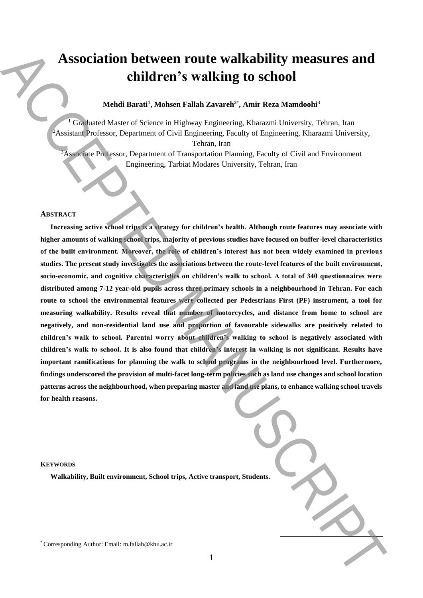# **Association between route walkability measures and children's walking to school**

# **Mehdi Barati<sup>1</sup> , Mohsen Fallah Zavareh<sup>2</sup>**\* **, Amir Reza Mamdoohi<sup>3</sup>**

<sup>1</sup> Graduated Master of Science in Highway Engineering, Kharazmi University, Tehran, Iran <sup>2</sup>Assistant Professor, Department of Civil Engineering, Faculty of Engineering, Kharazmi University, Tehran, Iran

<sup>3</sup>Associate Professor, Department of Transportation Planning, Faculty of Civil and Environment Engineering, Tarbiat Modares University, Tehran, Iran

## **ABSTRACT**

**Increasing active school trips is a strategy for children's health. Although route features may associate with higher amounts of walking school trips, majority of previous studies have focused on buffer-level characteristics of the built environment. Moreover, the role of children's interest has not been widely examined in previous studies. The present study investigates the associations between the route-level features of the built environment, socio-economic, and cognitive characteristics on children's walk to school. A total of 340 questionnaires were distributed among 7-12 year-old pupils across three primary schools in a neighbourhood in Tehran. For each route to school the environmental features were collected per Pedestrians First (PF) instrument, a tool for measuring walkability. Results reveal that number of motorcycles, and distance from home to school are negatively, and non-residential land use and proportion of favourable sidewalks are positively related to children's walk to school. Parental worry about children's walking to school is negatively associated with children's walk to school. It is also found that children's interest in walking is not significant. Results have important ramifications for planning the walk to school programs in the neighbourhood level. Furthermore, findings underscored the provision of multi-facet long-term policies such as land use changes and school location patterns across the neighbourhood, when preparing master and land use plans, to enhance walking school travels for health reasons.** Association between route walkability measures and<br>children's walking to school<br>mathematical Barati, Nobel Fallah Zavardi". Anir Rear Manufoldi<sup>2</sup><br>Accepted Manuscript Author: Email: m.f. animalia<br>Acceleration  $\theta$  Certain

#### **KEYWORDS**

**Walkability, Built environment, School trips, Active transport, Students.**

**.**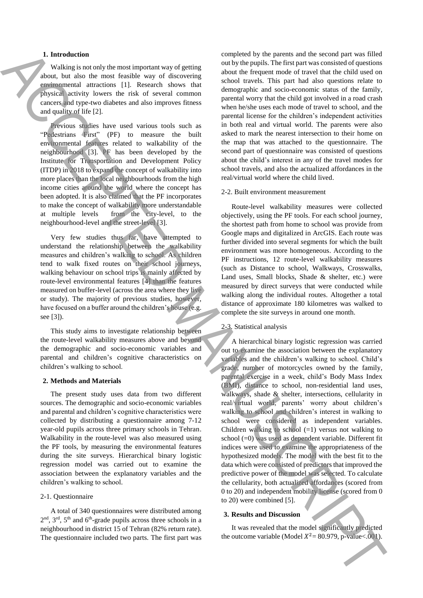## **1. Introduction**

Walking is not only the most important way of getting about, but also the most feasible way of discovering environmental attractions [1]. Research shows that physical activity lowers the risk of several common cancers and type-two diabetes and also improves fitness and quality of life [2].

Previous studies have used various tools such as "Pedestrians First" (PF) to measure the built environmental features related to walkability of the neighbourhood [3]. PF has been developed by the Institute for Transportation and Development Policy (ITDP) in 2018 to expand the concept of walkability into more places than the local neighbourhoods from the high income cities around the world where the concept has been adopted. It is also claimed that the PF incorporates to make the concept of walkability more understandable at multiple levels from the city-level, to the neighbourhood-level and the street-level [3].

Very few studies thus far, have attempted to understand the relationship between the walkability measures and children's walking to school. As children tend to walk fixed routes on their school journeys, walking behaviour on school trips is mainly affected by route-level environmental features [4] than the features measured on buffer-level (across the area where they live or study). The majority of previous studies, however, have focused on a buffer around the children's house (e.g. see [3]).

This study aims to investigate relationship between the route-level walkability measures above and beyond the demographic and socio-economic variables and parental and children's cognitive characteristics on children's walking to school.

#### **2. Methods and Materials**

The present study uses data from two different sources. The demographic and socio-economic variables and parental and children's cognitive characteristics were collected by distributing a questionnaire among 7-12 year-old pupils across three primary schools in Tehran. Walkability in the route-level was also measured using the PF tools, by measuring the environmental features during the site surveys. Hierarchical binary logistic regression model was carried out to examine the association between the explanatory variables and the children's walking to school.

## 2-1. Questionnaire

A total of 340 questionnaires were distributed among  $2<sup>nd</sup>$ ,  $3<sup>rd</sup>$ ,  $5<sup>th</sup>$  and  $6<sup>th</sup>$ -grade pupils across three schools in a neighbourhood in district 15 of Tehran (82% return rate). The questionnaire included two parts. The first part was

completed by the parents and the second part was filled out by the pupils. The first part was consisted of questions about the frequent mode of travel that the child used on school travels. This part had also questions relate to demographic and socio-economic status of the family, parental worry that the child got involved in a road crash when he/she uses each mode of travel to school, and the parental license for the children's independent activities in both real and virtual world. The parents were also asked to mark the nearest intersection to their home on the map that was attached to the questionnaire. The second part of questionnaire was consisted of questions about the child's interest in any of the travel modes for school travels, and also the actualized affordances in the real/virtual world where the child lived.

## 2-2. Built environment measurement

Route-level walkability measures were collected objectively, using the PF tools. For each school journey, the shortest path from home to school was provide from Google maps and digitalized in ArcGIS. Each route was further divided into several segments for which the built environment was more homogeneous. According to the PF instructions, 12 route-level walkability measures (such as Distance to school, Walkways, Crosswalks, Land uses, Small blocks, Shade & shelter, etc.) were measured by direct surveys that were conducted while walking along the individual routes. Altogether a total distance of approximate 180 kilometres was walked to complete the site surveys in around one month.

#### 2-3. Statistical analysis

A hierarchical binary logistic regression was carried out to examine the association between the explanatory variables and the children's walking to school. Child's grade, number of motorcycles owned by the family, parental exercise in a week, child's Body Mass Index (BMI), distance to school, non-residential land uses, walkways, shade & shelter, intersections, cellularity in real/virtual world, parents' worry about children's walking to school and children's interest in walking to school were considered as independent variables. Children walking to school  $(=1)$  versus not walking to school  $(=0)$  was used as dependent variable. Different fit indices were used to examine the appropriateness of the hypothesized models. The model with the best fit to the data which were consisted of predictors that improved the predictive power of the model was selected. To calculate the cellularity, both actualized affordances (scored from 0 to 20) and independent mobility license (scored from 0 to 20) were combined [5]. **1. Extracta the main of the state of the state of the state of the state of the state of the state of the state of the state of the state of the state of the state of the state of the state of the state of the state of t** 

## **3. Results and Discussion**

It was revealed that the model significantly predicted the outcome variable (Model  $X^2 = 80.979$ , p-value<.001).